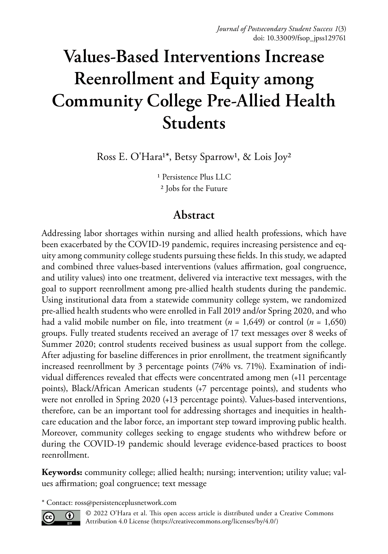# **Values-Based Interventions Increase Reenrollment and Equity among Community College Pre-Allied Health Students**

Ross E. O'Hara<sup>1\*</sup>, Betsy Sparrow<sup>1</sup>, & Lois Joy<sup>2</sup>

1 Persistence Plus LLC 2 Jobs for the Future

# **Abstract**

Addressing labor shortages within nursing and allied health professions, which have been exacerbated by the COVID-19 pandemic, requires increasing persistence and equity among community college students pursuing these fields. In this study, we adapted and combined three values-based interventions (values affirmation, goal congruence, and utility values) into one treatment, delivered via interactive text messages, with the goal to support reenrollment among pre-allied health students during the pandemic. Using institutional data from a statewide community college system, we randomized pre-allied health students who were enrolled in Fall 2019 and/or Spring 2020, and who had a valid mobile number on file, into treatment (*n* = 1,649) or control (*n* = 1,650) groups. Fully treated students received an average of 17 text messages over 8 weeks of Summer 2020; control students received business as usual support from the college. After adjusting for baseline differences in prior enrollment, the treatment significantly increased reenrollment by 3 percentage points (74% vs. 71%). Examination of individual differences revealed that effects were concentrated among men (+11 percentage points), Black/African American students (+7 percentage points), and students who were not enrolled in Spring 2020 (+13 percentage points). Values-based interventions, therefore, can be an important tool for addressing shortages and inequities in healthcare education and the labor force, an important step toward improving public health. Moreover, community colleges seeking to engage students who withdrew before or during the COVID-19 pandemic should leverage evidence-based practices to boost reenrollment.

**Keywords:** community college; allied health; nursing; intervention; utility value; values affirmation; goal congruence; text message

\* Contact: ross@persistenceplusnetwork.com



© 2022 O'Hara et al. This open access article is distributed under a Creative Commons Attribution 4.0 License [\(https://creativecommons.org/licenses/by/4.0/\)](https://creativecommons.org/licenses/by/4.0/)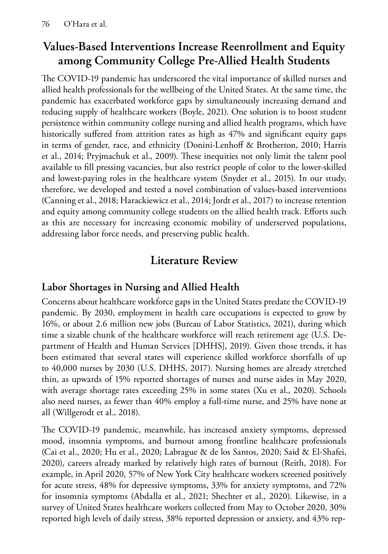# **Values-Based Interventions Increase Reenrollment and Equity among Community College Pre-Allied Health Students**

The COVID-19 pandemic has underscored the vital importance of skilled nurses and allied health professionals for the wellbeing of the United States. At the same time, the pandemic has exacerbated workforce gaps by simultaneously increasing demand and reducing supply of healthcare workers (Boyle, 2021). One solution is to boost student persistence within community college nursing and allied health programs, which have historically suffered from attrition rates as high as 47% and significant equity gaps in terms of gender, race, and ethnicity (Donini-Lenhoff & Brotherton, 2010; Harris et al., 2014; Pryjmachuk et al., 2009). These inequities not only limit the talent pool available to fill pressing vacancies, but also restrict people of color to the lower-skilled and lowest-paying roles in the healthcare system (Snyder et al., 2015). In our study, therefore, we developed and tested a novel combination of values-based interventions (Canning et al., 2018; Harackiewicz et al., 2014; Jordt et al., 2017) to increase retention and equity among community college students on the allied health track. Efforts such as this are necessary for increasing economic mobility of underserved populations, addressing labor force needs, and preserving public health.

# **Literature Review**

# **Labor Shortages in Nursing and Allied Health**

Concerns about healthcare workforce gaps in the United States predate the COVID-19 pandemic. By 2030, employment in health care occupations is expected to grow by 16%, or about 2.6 million new jobs (Bureau of Labor Statistics, 2021), during which time a sizable chunk of the healthcare workforce will reach retirement age (U.S. Department of Health and Human Services [DHHS], 2019). Given those trends, it has been estimated that several states will experience skilled workforce shortfalls of up to 40,000 nurses by 2030 (U.S. DHHS, 2017). Nursing homes are already stretched thin, as upwards of 15% reported shortages of nurses and nurse aides in May 2020, with average shortage rates exceeding 25% in some states (Xu et al., 2020). Schools also need nurses, as fewer than 40% employ a full-time nurse, and 25% have none at all (Willgerodt et al., 2018).

The COVID-19 pandemic, meanwhile, has increased anxiety symptoms, depressed mood, insomnia symptoms, and burnout among frontline healthcare professionals (Cai et al., 2020; Hu et al., 2020; Labrague & de los Santos, 2020; Said & El-Shafei, 2020), careers already marked by relatively high rates of burnout (Reith, 2018). For example, in April 2020, 57% of New York City healthcare workers screened positively for acute stress, 48% for depressive symptoms, 33% for anxiety symptoms, and 72% for insomnia symptoms (Abdalla et al., 2021; Shechter et al., 2020). Likewise, in a survey of United States healthcare workers collected from May to October 2020, 30% reported high levels of daily stress, 38% reported depression or anxiety, and 43% rep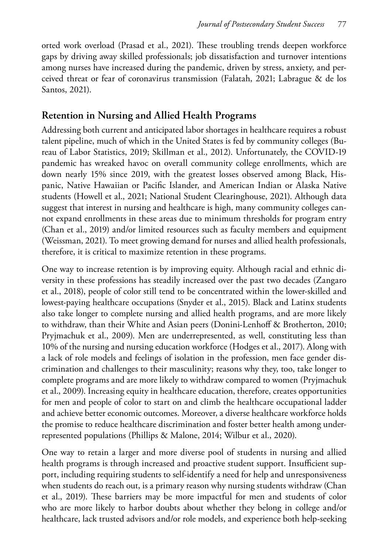orted work overload (Prasad et al., 2021). These troubling trends deepen workforce gaps by driving away skilled professionals; job dissatisfaction and turnover intentions among nurses have increased during the pandemic, driven by stress, anxiety, and perceived threat or fear of coronavirus transmission (Falatah, 2021; Labrague & de los Santos, 2021).

#### **Retention in Nursing and Allied Health Programs**

Addressing both current and anticipated labor shortages in healthcare requires a robust talent pipeline, much of which in the United States is fed by community colleges (Bureau of Labor Statistics, 2019; Skillman et al., 2012). Unfortunately, the COVID-19 pandemic has wreaked havoc on overall community college enrollments, which are down nearly 15% since 2019, with the greatest losses observed among Black, Hispanic, Native Hawaiian or Pacific Islander, and American Indian or Alaska Native students (Howell et al., 2021; National Student Clearinghouse, 2021). Although data suggest that interest in nursing and healthcare is high, many community colleges cannot expand enrollments in these areas due to minimum thresholds for program entry (Chan et al., 2019) and/or limited resources such as faculty members and equipment (Weissman, 2021). To meet growing demand for nurses and allied health professionals, therefore, it is critical to maximize retention in these programs.

One way to increase retention is by improving equity. Although racial and ethnic diversity in these professions has steadily increased over the past two decades (Zangaro et al., 2018), people of color still tend to be concentrated within the lower-skilled and lowest-paying healthcare occupations (Snyder et al., 2015). Black and Latinx students also take longer to complete nursing and allied health programs, and are more likely to withdraw, than their White and Asian peers (Donini-Lenhoff & Brotherton, 2010; Pryjmachuk et al., 2009). Men are underrepresented, as well, constituting less than 10% of the nursing and nursing education workforce (Hodges et al., 2017). Along with a lack of role models and feelings of isolation in the profession, men face gender discrimination and challenges to their masculinity; reasons why they, too, take longer to complete programs and are more likely to withdraw compared to women (Pryjmachuk et al., 2009). Increasing equity in healthcare education, therefore, creates opportunities for men and people of color to start on and climb the healthcare occupational ladder and achieve better economic outcomes. Moreover, a diverse healthcare workforce holds the promise to reduce healthcare discrimination and foster better health among underrepresented populations (Phillips & Malone, 2014; Wilbur et al., 2020).

One way to retain a larger and more diverse pool of students in nursing and allied health programs is through increased and proactive student support. Insufficient support, including requiring students to self-identify a need for help and unresponsiveness when students do reach out, is a primary reason why nursing students withdraw (Chan et al., 2019). These barriers may be more impactful for men and students of color who are more likely to harbor doubts about whether they belong in college and/or healthcare, lack trusted advisors and/or role models, and experience both help-seeking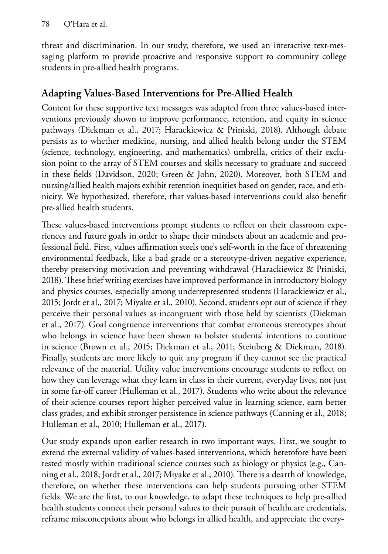threat and discrimination. In our study, therefore, we used an interactive text-messaging platform to provide proactive and responsive support to community college students in pre-allied health programs.

### **Adapting Values-Based Interventions for Pre-Allied Health**

Content for these supportive text messages was adapted from three values-based interventions previously shown to improve performance, retention, and equity in science pathways (Diekman et al., 2017; Harackiewicz & Priniski, 2018). Although debate persists as to whether medicine, nursing, and allied health belong under the STEM (science, technology, engineering, and mathematics) umbrella, critics of their exclusion point to the array of STEM courses and skills necessary to graduate and succeed in these fields (Davidson, 2020; Green & John, 2020). Moreover, both STEM and nursing/allied health majors exhibit retention inequities based on gender, race, and ethnicity. We hypothesized, therefore, that values-based interventions could also benefit pre-allied health students.

These values-based interventions prompt students to reflect on their classroom experiences and future goals in order to shape their mindsets about an academic and professional field. First, values affirmation steels one's self-worth in the face of threatening environmental feedback, like a bad grade or a stereotype-driven negative experience, thereby preserving motivation and preventing withdrawal (Harackiewicz & Priniski, 2018). These brief writing exercises have improved performance in introductory biology and physics courses, especially among underrepresented students (Harackiewicz et al., 2015; Jordt et al., 2017; Miyake et al., 2010). Second, students opt out of science if they perceive their personal values as incongruent with those held by scientists (Diekman et al., 2017). Goal congruence interventions that combat erroneous stereotypes about who belongs in science have been shown to bolster students' intentions to continue in science (Brown et al., 2015; Diekman et al., 2011; Steinberg & Diekman, 2018). Finally, students are more likely to quit any program if they cannot see the practical relevance of the material. Utility value interventions encourage students to reflect on how they can leverage what they learn in class in their current, everyday lives, not just in some far-off career (Hulleman et al., 2017). Students who write about the relevance of their science courses report higher perceived value in learning science, earn better class grades, and exhibit stronger persistence in science pathways (Canning et al., 2018; Hulleman et al., 2010; Hulleman et al., 2017).

Our study expands upon earlier research in two important ways. First, we sought to extend the external validity of values-based interventions, which heretofore have been tested mostly within traditional science courses such as biology or physics (e.g., Canning et al., 2018; Jordt et al., 2017; Miyake et al., 2010). There is a dearth of knowledge, therefore, on whether these interventions can help students pursuing other STEM fields. We are the first, to our knowledge, to adapt these techniques to help pre-allied health students connect their personal values to their pursuit of healthcare credentials, reframe misconceptions about who belongs in allied health, and appreciate the every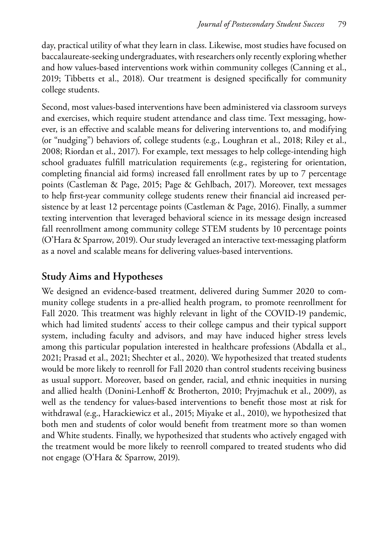day, practical utility of what they learn in class. Likewise, most studies have focused on baccalaureate-seeking undergraduates, with researchers only recently exploring whether and how values-based interventions work within community colleges (Canning et al., 2019; Tibbetts et al., 2018). Our treatment is designed specifically for community college students.

Second, most values-based interventions have been administered via classroom surveys and exercises, which require student attendance and class time. Text messaging, however, is an effective and scalable means for delivering interventions to, and modifying (or "nudging") behaviors of, college students (e.g., Loughran et al., 2018; Riley et al., 2008; Riordan et al., 2017). For example, text messages to help college-intending high school graduates fulfill matriculation requirements (e.g., registering for orientation, completing financial aid forms) increased fall enrollment rates by up to 7 percentage points (Castleman & Page, 2015; Page & Gehlbach, 2017). Moreover, text messages to help first-year community college students renew their financial aid increased persistence by at least 12 percentage points (Castleman & Page, 2016). Finally, a summer texting intervention that leveraged behavioral science in its message design increased fall reenrollment among community college STEM students by 10 percentage points (O'Hara & Sparrow, 2019). Our study leveraged an interactive text-messaging platform as a novel and scalable means for delivering values-based interventions.

#### **Study Aims and Hypotheses**

We designed an evidence-based treatment, delivered during Summer 2020 to community college students in a pre-allied health program, to promote reenrollment for Fall 2020. This treatment was highly relevant in light of the COVID-19 pandemic, which had limited students' access to their college campus and their typical support system, including faculty and advisors, and may have induced higher stress levels among this particular population interested in healthcare professions (Abdalla et al., 2021; Prasad et al., 2021; Shechter et al., 2020). We hypothesized that treated students would be more likely to reenroll for Fall 2020 than control students receiving business as usual support. Moreover, based on gender, racial, and ethnic inequities in nursing and allied health (Donini-Lenhoff & Brotherton, 2010; Pryjmachuk et al., 2009), as well as the tendency for values-based interventions to benefit those most at risk for withdrawal (e.g., Harackiewicz et al., 2015; Miyake et al., 2010), we hypothesized that both men and students of color would benefit from treatment more so than women and White students. Finally, we hypothesized that students who actively engaged with the treatment would be more likely to reenroll compared to treated students who did not engage (O'Hara & Sparrow, 2019).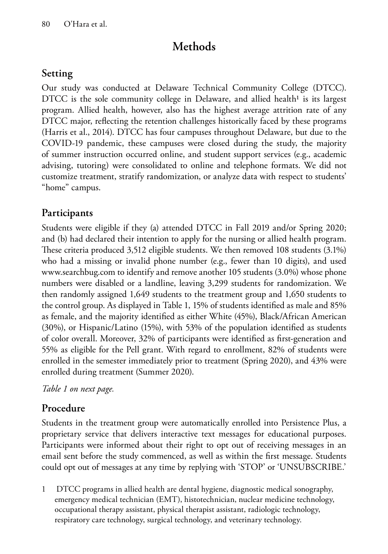# **Methods**

### **Setting**

Our study was conducted at Delaware Technical Community College (DTCC). DTCC is the sole community college in Delaware, and allied health<sup>1</sup> is its largest program. Allied health, however, also has the highest average attrition rate of any DTCC major, reflecting the retention challenges historically faced by these programs (Harris et al., 2014). DTCC has four campuses throughout Delaware, but due to the COVID-19 pandemic, these campuses were closed during the study, the majority of summer instruction occurred online, and student support services (e.g., academic advising, tutoring) were consolidated to online and telephone formats. We did not customize treatment, stratify randomization, or analyze data with respect to students' "home" campus.

### **Participants**

Students were eligible if they (a) attended DTCC in Fall 2019 and/or Spring 2020; and (b) had declared their intention to apply for the nursing or allied health program. These criteria produced 3,512 eligible students. We then removed 108 students (3.1%) who had a missing or invalid phone number (e.g., fewer than 10 digits), and used www.searchbug.com to identify and remove another 105 students (3.0%) whose phone numbers were disabled or a landline, leaving 3,299 students for randomization. We then randomly assigned 1,649 students to the treatment group and 1,650 students to the control group. As displayed in Table 1, 15% of students identified as male and 85% as female, and the majority identified as either White (45%), Black/African American (30%), or Hispanic/Latino (15%), with 53% of the population identified as students of color overall. Moreover, 32% of participants were identified as first-generation and 55% as eligible for the Pell grant. With regard to enrollment, 82% of students were enrolled in the semester immediately prior to treatment (Spring 2020), and 43% were enrolled during treatment (Summer 2020).

*Table 1 on next page.*

# **Procedure**

Students in the treatment group were automatically enrolled into Persistence Plus, a proprietary service that delivers interactive text messages for educational purposes. Participants were informed about their right to opt out of receiving messages in an email sent before the study commenced, as well as within the first message. Students could opt out of messages at any time by replying with 'STOP' or 'UNSUBSCRIBE.'

1 DTCC programs in allied health are dental hygiene, diagnostic medical sonography, emergency medical technician (EMT), histotechnician, nuclear medicine technology, occupational therapy assistant, physical therapist assistant, radiologic technology, respiratory care technology, surgical technology, and veterinary technology.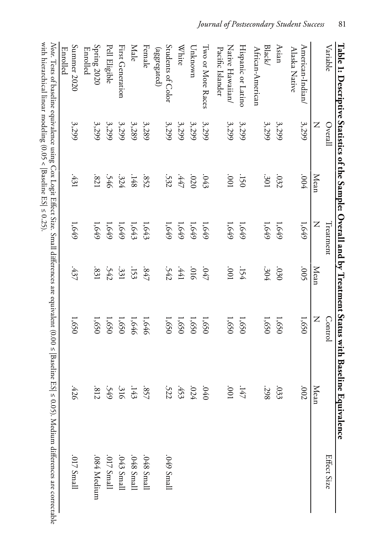| Table 1: Descriptive Statistics of the Sample: Overall and by Treatment Status with Baseli |         |             |           |             |                | ne Equivalence  |                                                                                                                                                                     |
|--------------------------------------------------------------------------------------------|---------|-------------|-----------|-------------|----------------|-----------------|---------------------------------------------------------------------------------------------------------------------------------------------------------------------|
| Variable                                                                                   | Overall |             | Treatment |             | <b>Control</b> |                 | Effect Size                                                                                                                                                         |
|                                                                                            | Z       | <b>Mean</b> | Z         | <b>Mean</b> | Z              | Mean            |                                                                                                                                                                     |
| American-Indian/<br>Alaska Native                                                          | 3,299   | $+000.$     | 1,649     | .005        | 1,650          | 700'            |                                                                                                                                                                     |
| Asian                                                                                      | 3,299   | .032        | 1,649     | 030         | 1,650          | .033            |                                                                                                                                                                     |
| Black/<br>African-American                                                                 | 3,299   | .301        | 1,649     | .304        | 1,650          | .298            |                                                                                                                                                                     |
| Hispanic or Latino                                                                         | 3,299   | .150        | 1,649     | .154        | 1,650          | .147            |                                                                                                                                                                     |
| Native Hawaiian/<br>Pacific Islander                                                       | 3,299   | 100         | $1,649$   | 100         | 1,650          | $100^{\circ}$   |                                                                                                                                                                     |
| Iwo or More Races                                                                          | 3,299   | .043        | 1,649     | .047        | 1,650          | $0\not\equiv 0$ |                                                                                                                                                                     |
| Unknown                                                                                    | 3,299   | .020        | 1,649     | 910'        | 1,650          | .024            |                                                                                                                                                                     |
| <b>White</b>                                                                               | 3,299   | $.447$      | 1,649     | $1441$      | 1,650          | .453            |                                                                                                                                                                     |
| Students of Color<br>(aggregated)                                                          | 3,299   | .532        | 1,649     | .542        | 1,650          | .522            | .049 Small                                                                                                                                                          |
| Female                                                                                     | 3,289   | .852        | 1,643     | $-847$      | 1,646          | .857            | .048 Small                                                                                                                                                          |
| Male                                                                                       | 3,289   | .148        | 1,643     | .153        | 1,646          | .143            | .048 Small                                                                                                                                                          |
| First Generation                                                                           | 3,299   | .324        | 1,649     | .331        | 1,650          | .316            | .043 Small                                                                                                                                                          |
| Pell Eligible                                                                              | 3,299   | .546        | 1,649     | .542        | 1,650          | .549            | .017 Small                                                                                                                                                          |
| Spring 2020<br><b>Enrolled</b>                                                             | 3,299   | .821        | 1,649     | .831        | 1,650          | .812            | .084 Medium                                                                                                                                                         |
| Summer 2020<br>Enrolled                                                                    | 3,299   | .431        | 1,649     | .437        | 1,650          | .426            | $.017$ Small                                                                                                                                                        |
|                                                                                            |         |             |           |             |                |                 | Note. Tests of baseline equivalence using Cox Logit Effect Size. Small differences are equivalent (0.00 ≤  Baseline ES  ≤ 0.05). Medium differences are correctable |
|                                                                                            |         |             |           |             |                |                 |                                                                                                                                                                     |

with hierarchical linear modeling (0.05 < |Baseline ES|  $\leq$  0.25). with hierarchical linear modeling (0.05 <  $|$  Baseline ES|  $\leq 0.25$ ). *Note*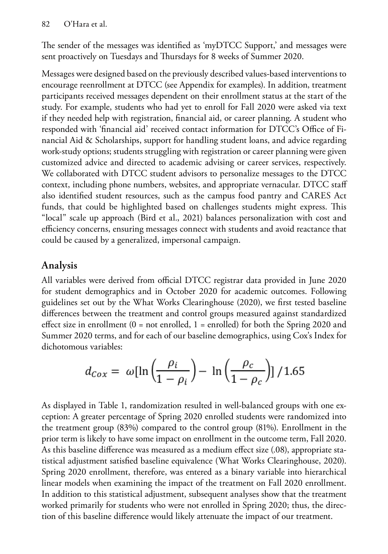The sender of the messages was identified as 'myDTCC Support,' and messages were sent proactively on Tuesdays and Thursdays for 8 weeks of Summer 2020.

Messages were designed based on the previously described values-based interventions to encourage reenrollment at DTCC (see Appendix for examples). In addition, treatment participants received messages dependent on their enrollment status at the start of the study. For example, students who had yet to enroll for Fall 2020 were asked via text if they needed help with registration, financial aid, or career planning. A student who responded with 'financial aid' received contact information for DTCC's Office of Financial Aid & Scholarships, support for handling student loans, and advice regarding work-study options; students struggling with registration or career planning were given customized advice and directed to academic advising or career services, respectively. We collaborated with DTCC student advisors to personalize messages to the DTCC context, including phone numbers, websites, and appropriate vernacular. DTCC staff also identified student resources, such as the campus food pantry and CARES Act funds, that could be highlighted based on challenges students might express. This "local" scale up approach (Bird et al., 2021) balances personalization with cost and efficiency concerns, ensuring messages connect with students and avoid reactance that could be caused by a generalized, impersonal campaign.

### **Analysis**

All variables were derived from official DTCC registrar data provided in June 2020 for student demographics and in October 2020 for academic outcomes. Following guidelines set out by the What Works Clearinghouse (2020), we first tested baseline differences between the treatment and control groups measured against standardized effect size in enrollment  $(0 = not$  enrolled,  $1 =$  enrolled) for both the Spring 2020 and Summer 2020 terms, and for each of our baseline demographics, using Cox's Index for dichotomous variables:

$$
d_{\text{Cox}} = \omega \left[ \ln \left( \frac{\rho_i}{1 - \rho_i} \right) - \ln \left( \frac{\rho_c}{1 - \rho_c} \right) \right] / 1.65
$$

As displayed in Table 1, randomization resulted in well-balanced groups with one exception: A greater percentage of Spring 2020 enrolled students were randomized into the treatment group (83%) compared to the control group (81%). Enrollment in the prior term is likely to have some impact on enrollment in the outcome term, Fall 2020. As this baseline difference was measured as a medium effect size (.08), appropriate statistical adjustment satisfied baseline equivalence (What Works Clearinghouse, 2020). Spring 2020 enrollment, therefore, was entered as a binary variable into hierarchical linear models when examining the impact of the treatment on Fall 2020 enrollment. In addition to this statistical adjustment, subsequent analyses show that the treatment worked primarily for students who were not enrolled in Spring 2020; thus, the direction of this baseline difference would likely attenuate the impact of our treatment.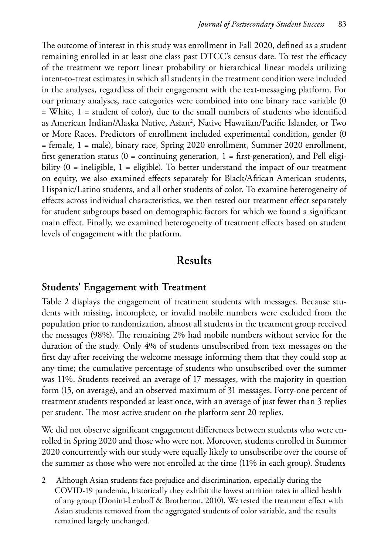The outcome of interest in this study was enrollment in Fall 2020, defined as a student remaining enrolled in at least one class past DTCC's census date. To test the efficacy of the treatment we report linear probability or hierarchical linear models utilizing intent-to-treat estimates in which all students in the treatment condition were included in the analyses, regardless of their engagement with the text-messaging platform. For our primary analyses, race categories were combined into one binary race variable (0  $=$  White,  $1 =$  student of color), due to the small numbers of students who identified as American Indian/Alaska Native, Asian<sup>2</sup>, Native Hawaiian/Pacific Islander, or Two or More Races. Predictors of enrollment included experimental condition, gender (0 = female, 1 = male), binary race, Spring 2020 enrollment, Summer 2020 enrollment, first generation status ( $0 =$  continuing generation,  $1 =$  first-generation), and Pell eligibility  $(0 = \text{ineligible}, 1 = \text{eligible})$ . To better understand the impact of our treatment on equity, we also examined effects separately for Black/African American students, Hispanic/Latino students, and all other students of color. To examine heterogeneity of effects across individual characteristics, we then tested our treatment effect separately for student subgroups based on demographic factors for which we found a significant main effect. Finally, we examined heterogeneity of treatment effects based on student levels of engagement with the platform.

#### **Results**

#### **Students' Engagement with Treatment**

Table 2 displays the engagement of treatment students with messages. Because students with missing, incomplete, or invalid mobile numbers were excluded from the population prior to randomization, almost all students in the treatment group received the messages (98%). The remaining 2% had mobile numbers without service for the duration of the study. Only 4% of students unsubscribed from text messages on the first day after receiving the welcome message informing them that they could stop at any time; the cumulative percentage of students who unsubscribed over the summer was 11%. Students received an average of 17 messages, with the majority in question form (15, on average), and an observed maximum of 31 messages. Forty-one percent of treatment students responded at least once, with an average of just fewer than 3 replies per student. The most active student on the platform sent 20 replies.

We did not observe significant engagement differences between students who were enrolled in Spring 2020 and those who were not. Moreover, students enrolled in Summer 2020 concurrently with our study were equally likely to unsubscribe over the course of the summer as those who were not enrolled at the time (11% in each group). Students

2 Although Asian students face prejudice and discrimination, especially during the COVID-19 pandemic, historically they exhibit the lowest attrition rates in allied health of any group (Donini-Lenhoff & Brotherton, 2010). We tested the treatment effect with Asian students removed from the aggregated students of color variable, and the results remained largely unchanged.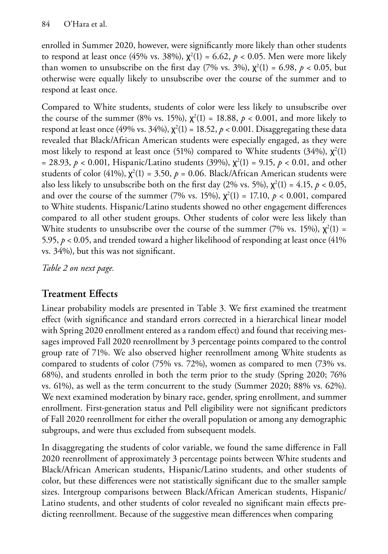enrolled in Summer 2020, however, were significantly more likely than other students to respond at least once (45% vs. 38%),  $\chi^2(1) = 6.62$ ,  $p < 0.05$ . Men were more likely than women to unsubscribe on the first day (7% vs. 3%),  $\chi^2(1) = 6.98$ ,  $p < 0.05$ , but otherwise were equally likely to unsubscribe over the course of the summer and to respond at least once.

Compared to White students, students of color were less likely to unsubscribe over the course of the summer (8% vs. 15%),  $\chi^2(1) = 18.88$ ,  $p < 0.001$ , and more likely to respond at least once (49% vs. 34%),  $\chi^2(1) = 18.52$ ,  $p < 0.001$ . Disaggregating these data revealed that Black/African American students were especially engaged, as they were most likely to respond at least once (51%) compared to White students (34%),  $\chi^2(1)$ = 28.93,  $p < 0.001$ , Hispanic/Latino students (39%),  $\chi^2(1) = 9.15$ ,  $p < 0.01$ , and other students of color (41%),  $\chi^2(1) = 3.50$ ,  $p = 0.06$ . Black/African American students were also less likely to unsubscribe both on the first day (2% vs. 5%),  $\chi^2(1) = 4.15$ ,  $p < 0.05$ , and over the course of the summer (7% vs. 15%),  $\chi^2(1) = 17.10$ ,  $p < 0.001$ , compared to White students. Hispanic/Latino students showed no other engagement differences compared to all other student groups. Other students of color were less likely than White students to unsubscribe over the course of the summer (7% vs. 15%),  $\chi^2(1)$  = 5.95, *p* < 0.05, and trended toward a higher likelihood of responding at least once (41% vs. 34%), but this was not significant.

*Table 2 on next page.*

# **Treatment Effects**

Linear probability models are presented in Table 3. We first examined the treatment effect (with significance and standard errors corrected in a hierarchical linear model with Spring 2020 enrollment entered as a random effect) and found that receiving messages improved Fall 2020 reenrollment by 3 percentage points compared to the control group rate of 71%. We also observed higher reenrollment among White students as compared to students of color (75% vs. 72%), women as compared to men (73% vs. 68%), and students enrolled in both the term prior to the study (Spring 2020; 76% vs. 61%), as well as the term concurrent to the study (Summer 2020; 88% vs. 62%). We next examined moderation by binary race, gender, spring enrollment, and summer enrollment. First-generation status and Pell eligibility were not significant predictors of Fall 2020 reenrollment for either the overall population or among any demographic subgroups, and were thus excluded from subsequent models.

In disaggregating the students of color variable, we found the same difference in Fall 2020 reenrollment of approximately 3 percentage points between White students and Black/African American students, Hispanic/Latino students, and other students of color, but these differences were not statistically significant due to the smaller sample sizes. Intergroup comparisons between Black/African American students, Hispanic/ Latino students, and other students of color revealed no significant main effects predicting reenrollment. Because of the suggestive mean differences when comparing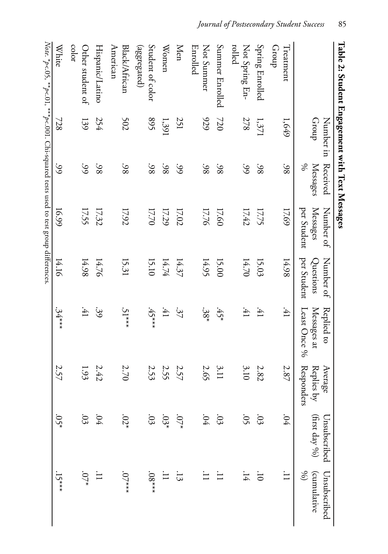| Table 2: Student Engagement with Text Messages                                      |                    |                           |                                      |                                       |                                           |                                            |                               |                                              |
|-------------------------------------------------------------------------------------|--------------------|---------------------------|--------------------------------------|---------------------------------------|-------------------------------------------|--------------------------------------------|-------------------------------|----------------------------------------------|
|                                                                                     | Number in<br>Group | Received<br>%<br>Messages | Messages<br>Number of<br>per Student | Number of<br>per Student<br>Questions | Replied to<br>Messages at<br>Least Once % | Average<br><b>Responders</b><br>Replies by | (first day %)<br>Unsubscribed | (cumulative<br>$\mathscr{E}$<br>Unsubscribed |
| Treatment<br>dnon-                                                                  | 1,649              | .98                       | 17.69                                | 14.98                                 | $\ddot{41}$                               | 2.87                                       | .04                           |                                              |
| <b>Spring Enrolled</b>                                                              | $1,371$            | .98                       | 17.75                                | 15.03                                 | :41                                       | $2.82\,$                                   | 53                            | $\overline{C}$                               |
| rolled<br>Not Spring En-                                                            | 278                | $\mathcal{S}$             | 17.42                                | 14.70                                 | $\ddot{41}$                               | 3.10                                       | 0 <sup>5</sup>                | $\pm 1$                                      |
| Summer Enrolled                                                                     | 720                | $-98$                     | 17.60                                | 15.00                                 | $45*$                                     | 3.11                                       | .03                           |                                              |
| Not Summer<br>Enrolled                                                              | 929                | .98                       | 17.76                                | 14.95                                 | $.38*$                                    | 2.65                                       | $.04\,$                       |                                              |
| <b>Men</b>                                                                          | 251                | $\mathcal{S}$             | 17.02                                | 14.37                                 | 37                                        | 2.57                                       | $-07^*$                       | $\ddot{3}$                                   |
| Women                                                                               | 1,391              | $-98$                     | 17.29                                | 14.74                                 | $\ddot{41}$                               | 2.55                                       | $.03*$                        |                                              |
| Student of color<br>(aggregated)                                                    | 895                | .98                       | 17.70                                | 15.10                                 | $.45***$                                  | 2.53                                       | .03                           | $^{***80}$                                   |
| American<br>Black/African                                                           | 502                | 38                        | 17.92                                | 15.31                                 | $.51***$                                  | 2.70                                       | $.02*$                        | $.07***$                                     |
| Hispanic/Latino                                                                     | 254                | $-98$                     | 17.32                                | 14.76                                 | 39                                        | 2.42                                       | 04                            |                                              |
| color<br>Other student of                                                           | 139                | $\mathcal{S}$             | 17.55                                | 14.98                                 | $\ddot{41}$                               | 1.93                                       | .03                           |                                              |
| <b>White</b>                                                                        | 728                | 66                        | 16.99                                | 14.16                                 | $.34***$                                  | 2.57                                       | $.05*$                        | $.15***$                                     |
| Note. *p<.05, **p<.01, ***p<.001. Chi-squared tests used to test group differences. |                    |                           |                                      |                                       |                                           |                                            |                               |                                              |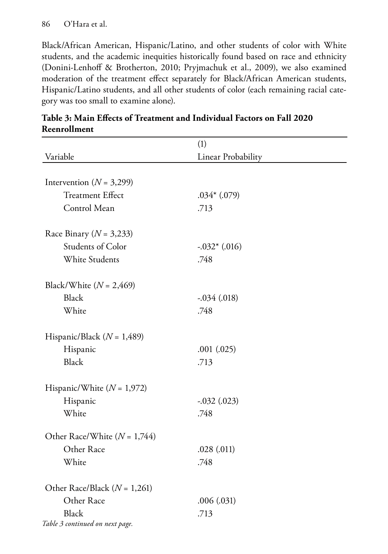Black/African American, Hispanic/Latino, and other students of color with White students, and the academic inequities historically found based on race and ethnicity (Donini-Lenhoff & Brotherton, 2010; Pryjmachuk et al., 2009), we also examined moderation of the treatment effect separately for Black/African American students, Hispanic/Latino students, and all other students of color (each remaining racial category was too small to examine alone).

|                                  | (1)                |
|----------------------------------|--------------------|
| Variable                         | Linear Probability |
|                                  |                    |
| Intervention ( $N = 3,299$ )     |                    |
| <b>Treatment Effect</b>          | $.034*(.079)$      |
| Control Mean                     | .713               |
| Race Binary ( $N = 3,233$ )      |                    |
| <b>Students of Color</b>         | $-.032*(.016)$     |
| <b>White Students</b>            | .748               |
| Black/White $(N = 2,469)$        |                    |
| <b>Black</b>                     | $-.034(.018)$      |
| White                            | .748               |
| Hispanic/Black ( $N = 1,489$ )   |                    |
| Hispanic                         | .001(.025)         |
| <b>Black</b>                     | .713               |
| Hispanic/White $(N = 1,972)$     |                    |
| Hispanic                         | $-.032(.023)$      |
| White                            | .748               |
| Other Race/White ( $N = 1,744$ ) |                    |
| Other Race                       | .028(.011)         |
| White                            | .748               |
| Other Race/Black ( $N = 1,261$ ) |                    |
| Other Race                       | .006(.031)         |
| <b>Black</b>                     | .713               |
| Table 3 continued on next page.  |                    |

| Table 3: Main Effects of Treatment and Individual Factors on Fall 2020 |  |
|------------------------------------------------------------------------|--|
| Reenrollment                                                           |  |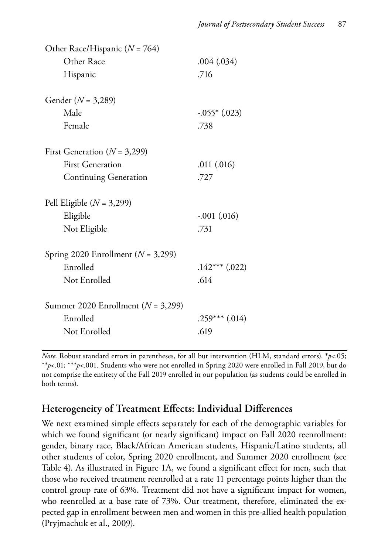| Other Race/Hispanic (N = 764)          |                    |
|----------------------------------------|--------------------|
| Other Race                             | .004(.034)         |
| Hispanic                               | .716               |
| Gender $(N = 3,289)$                   |                    |
| Male                                   | $-.055*$ $(.023)$  |
| Female                                 | .738               |
| First Generation ( $N = 3,299$ )       |                    |
| <b>First Generation</b>                | .011(.016)         |
| <b>Continuing Generation</b>           | .727               |
| Pell Eligible $(N = 3,299)$            |                    |
| Eligible                               | $-.001(.016)$      |
| Not Eligible                           | .731               |
| Spring 2020 Enrollment ( $N = 3,299$ ) |                    |
| Enrolled                               | $.142***$ $(.022)$ |
| Not Enrolled                           | .614               |
| Summer 2020 Enrollment $(N = 3,299)$   |                    |
| Enrolled                               | $.259***$ $(.014)$ |
| Not Enrolled                           | .619               |
|                                        |                    |

*Note*. Robust standard errors in parentheses, for all but intervention (HLM, standard errors). \**p*<.05; \*\**p*<.01; \*\*\**p*<.001. Students who were not enrolled in Spring 2020 were enrolled in Fall 2019, but do not comprise the entirety of the Fall 2019 enrolled in our population (as students could be enrolled in both terms).

### **Heterogeneity of Treatment Effects: Individual Differences**

We next examined simple effects separately for each of the demographic variables for which we found significant (or nearly significant) impact on Fall 2020 reenrollment: gender, binary race, Black/African American students, Hispanic/Latino students, all other students of color, Spring 2020 enrollment, and Summer 2020 enrollment (see Table 4). As illustrated in Figure 1A, we found a significant effect for men, such that those who received treatment reenrolled at a rate 11 percentage points higher than the control group rate of 63%. Treatment did not have a significant impact for women, who reenrolled at a base rate of 73%. Our treatment, therefore, eliminated the expected gap in enrollment between men and women in this pre-allied health population (Pryjmachuk et al., 2009).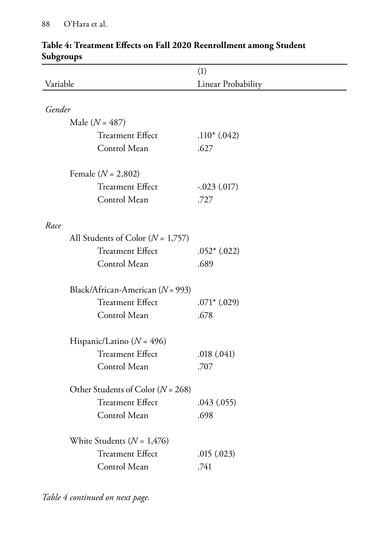|                                       | (1)                |
|---------------------------------------|--------------------|
| Variable                              | Linear Probability |
|                                       |                    |
| Gender                                |                    |
| Male $(N = 487)$                      |                    |
| <b>Treatment Effect</b>               | $.110*(.042)$      |
| Control Mean                          | .627               |
| Female $(N = 2,802)$                  |                    |
| <b>Treatment Effect</b>               | $-.023(.017)$      |
| Control Mean                          | .727               |
| Race                                  |                    |
| All Students of Color ( $N = 1,757$ ) |                    |
| <b>Treatment Effect</b>               | $.052*(.022)$      |
| Control Mean                          | .689               |
| Black/African-American ( $N = 993$ )  |                    |
| <b>Treatment Effect</b>               | $.071*$ $(.029)$   |
| Control Mean                          | .678               |
| Hispanic/Latino ( $N = 496$ )         |                    |
| <b>Treatment Effect</b>               | .018(.041)         |
| Control Mean                          | .707               |
| Other Students of Color ( $N = 268$ ) |                    |
| <b>Treatment Effect</b>               | .043(.055)         |
| Control Mean                          | .698               |
| White Students ( $N = 1,476$ )        |                    |
| <b>Treatment Effect</b>               | .015(.023)         |
| Control Mean                          | .741               |

#### **Table 4: Treatment Effects on Fall 2020 Reenrollment among Student Subgroups**

*Table 4 continued on next page.*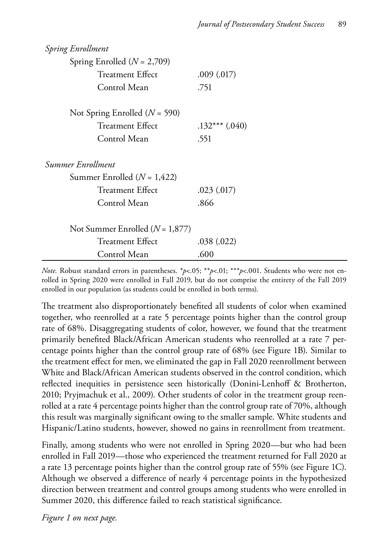| <b>Spring Enrollment</b>          |                    |
|-----------------------------------|--------------------|
| Spring Enrolled $(N = 2,709)$     |                    |
| <b>Treatment Effect</b>           | .009(.017)         |
| Control Mean                      | .751               |
| Not Spring Enrolled ( $N = 590$ ) |                    |
| <b>Treatment Effect</b>           | $.132***$ $(.040)$ |
| Control Mean                      | .551               |
| Summer Enrollment                 |                    |
| Summer Enrolled $(N = 1,422)$     |                    |
| Treatment Effect                  | .023(.017)         |
| Control Mean                      | .866               |
| Not Summer Enrolled $(N = 1,877)$ |                    |
| <b>Treatment Effect</b>           | .038(.022)         |
| Control Mean                      | .600               |

*Note.* Robust standard errors in parentheses. \**p*<.05; \*\**p*<.01; \*\*\**p*<.001. Students who were not enrolled in Spring 2020 were enrolled in Fall 2019, but do not comprise the entirety of the Fall 2019 enrolled in our population (as students could be enrolled in both terms).

The treatment also disproportionately benefited all students of color when examined together, who reenrolled at a rate 5 percentage points higher than the control group rate of 68%. Disaggregating students of color, however, we found that the treatment primarily benefited Black/African American students who reenrolled at a rate 7 percentage points higher than the control group rate of 68% (see Figure 1B). Similar to the treatment effect for men, we eliminated the gap in Fall 2020 reenrollment between White and Black/African American students observed in the control condition, which reflected inequities in persistence seen historically (Donini-Lenhoff & Brotherton, 2010; Pryjmachuk et al., 2009). Other students of color in the treatment group reenrolled at a rate 4 percentage points higher than the control group rate of 70%, although this result was marginally significant owing to the smaller sample. White students and Hispanic/Latino students, however, showed no gains in reenrollment from treatment.

Finally, among students who were not enrolled in Spring 2020—but who had been enrolled in Fall 2019—those who experienced the treatment returned for Fall 2020 at a rate 13 percentage points higher than the control group rate of 55% (see Figure 1C). Although we observed a difference of nearly 4 percentage points in the hypothesized direction between treatment and control groups among students who were enrolled in Summer 2020, this difference failed to reach statistical significance.

*Figure 1 on next page.*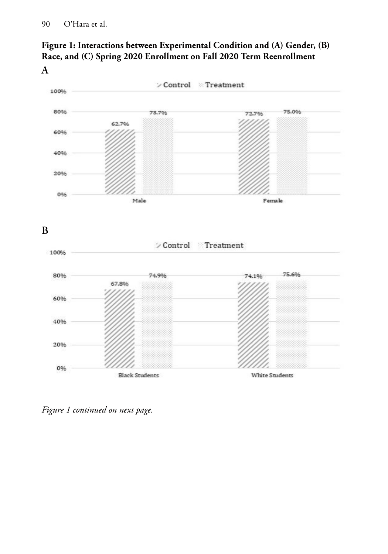



*Figure 1 continued on next page.*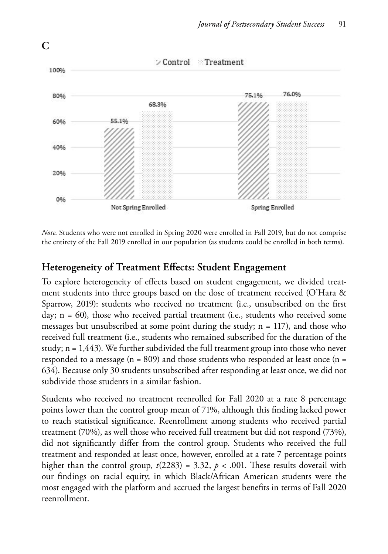

*Note*. Students who were not enrolled in Spring 2020 were enrolled in Fall 2019, but do not comprise the entirety of the Fall 2019 enrolled in our population (as students could be enrolled in both terms).

#### **Heterogeneity of Treatment Effects: Student Engagement**

To explore heterogeneity of effects based on student engagement, we divided treatment students into three groups based on the dose of treatment received (O'Hara & Sparrow, 2019): students who received no treatment (i.e., unsubscribed on the first day; n = 60), those who received partial treatment (i.e., students who received some messages but unsubscribed at some point during the study;  $n = 117$ ), and those who received full treatment (i.e., students who remained subscribed for the duration of the study; n = 1,443). We further subdivided the full treatment group into those who never responded to a message ( $n = 809$ ) and those students who responded at least once ( $n =$ 634). Because only 30 students unsubscribed after responding at least once, we did not subdivide those students in a similar fashion.

Students who received no treatment reenrolled for Fall 2020 at a rate 8 percentage points lower than the control group mean of 71%, although this finding lacked power to reach statistical significance. Reenrollment among students who received partial treatment (70%), as well those who received full treatment but did not respond (73%), did not significantly differ from the control group. Students who received the full treatment and responded at least once, however, enrolled at a rate 7 percentage points higher than the control group,  $t(2283) = 3.32$ ,  $p < .001$ . These results dovetail with our findings on racial equity, in which Black/African American students were the most engaged with the platform and accrued the largest benefits in terms of Fall 2020 reenrollment.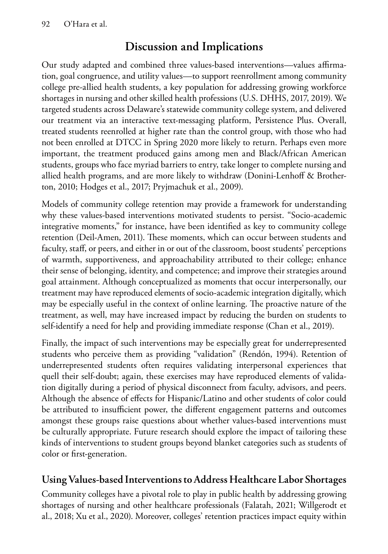# **Discussion and Implications**

Our study adapted and combined three values-based interventions—values affirmation, goal congruence, and utility values—to support reenrollment among community college pre-allied health students, a key population for addressing growing workforce shortages in nursing and other skilled health professions (U.S. DHHS, 2017, 2019). We targeted students across Delaware's statewide community college system, and delivered our treatment via an interactive text-messaging platform, Persistence Plus. Overall, treated students reenrolled at higher rate than the control group, with those who had not been enrolled at DTCC in Spring 2020 more likely to return. Perhaps even more important, the treatment produced gains among men and Black/African American students, groups who face myriad barriers to entry, take longer to complete nursing and allied health programs, and are more likely to withdraw (Donini-Lenhoff & Brotherton, 2010; Hodges et al., 2017; Pryjmachuk et al., 2009).

Models of community college retention may provide a framework for understanding why these values-based interventions motivated students to persist. "Socio-academic integrative moments," for instance, have been identified as key to community college retention (Deil-Amen, 2011). These moments, which can occur between students and faculty, staff, or peers, and either in or out of the classroom, boost students' perceptions of warmth, supportiveness, and approachability attributed to their college; enhance their sense of belonging, identity, and competence; and improve their strategies around goal attainment. Although conceptualized as moments that occur interpersonally, our treatment may have reproduced elements of socio-academic integration digitally, which may be especially useful in the context of online learning. The proactive nature of the treatment, as well, may have increased impact by reducing the burden on students to self-identify a need for help and providing immediate response (Chan et al., 2019).

Finally, the impact of such interventions may be especially great for underrepresented students who perceive them as providing "validation" (Rendón, 1994). Retention of underrepresented students often requires validating interpersonal experiences that quell their self-doubt; again, these exercises may have reproduced elements of validation digitally during a period of physical disconnect from faculty, advisors, and peers. Although the absence of effects for Hispanic/Latino and other students of color could be attributed to insufficient power, the different engagement patterns and outcomes amongst these groups raise questions about whether values-based interventions must be culturally appropriate. Future research should explore the impact of tailoring these kinds of interventions to student groups beyond blanket categories such as students of color or first-generation.

# **Using Values-based Interventions to Address Healthcare Labor Shortages**

Community colleges have a pivotal role to play in public health by addressing growing shortages of nursing and other healthcare professionals (Falatah, 2021; Willgerodt et al., 2018; Xu et al., 2020). Moreover, colleges' retention practices impact equity within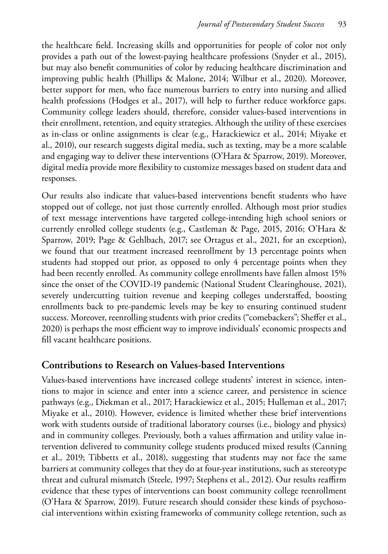the healthcare field. Increasing skills and opportunities for people of color not only provides a path out of the lowest-paying healthcare professions (Snyder et al., 2015), but may also benefit communities of color by reducing healthcare discrimination and improving public health (Phillips & Malone, 2014; Wilbur et al., 2020). Moreover, better support for men, who face numerous barriers to entry into nursing and allied health professions (Hodges et al., 2017), will help to further reduce workforce gaps. Community college leaders should, therefore, consider values-based interventions in their enrollment, retention, and equity strategies. Although the utility of these exercises as in-class or online assignments is clear (e.g., Harackiewicz et al., 2014; Miyake et al., 2010), our research suggests digital media, such as texting, may be a more scalable and engaging way to deliver these interventions (O'Hara & Sparrow, 2019). Moreover, digital media provide more flexibility to customize messages based on student data and responses.

Our results also indicate that values-based interventions benefit students who have stopped out of college, not just those currently enrolled. Although most prior studies of text message interventions have targeted college-intending high school seniors or currently enrolled college students (e.g., Castleman & Page, 2015, 2016; O'Hara & Sparrow, 2019; Page & Gehlbach, 2017; see Ortagus et al., 2021, for an exception), we found that our treatment increased reenrollment by 13 percentage points when students had stopped out prior, as opposed to only 4 percentage points when they had been recently enrolled. As community college enrollments have fallen almost 15% since the onset of the COVID-19 pandemic (National Student Clearinghouse, 2021), severely undercutting tuition revenue and keeping colleges understaffed, boosting enrollments back to pre-pandemic levels may be key to ensuring continued student success. Moreover, reenrolling students with prior credits ("comebackers"; Sheffer et al., 2020) is perhaps the most efficient way to improve individuals' economic prospects and fill vacant healthcare positions.

#### **Contributions to Research on Values-based Interventions**

Values-based interventions have increased college students' interest in science, intentions to major in science and enter into a science career, and persistence in science pathways (e.g., Diekman et al., 2017; Harackiewicz et al., 2015; Hulleman et al., 2017; Miyake et al., 2010). However, evidence is limited whether these brief interventions work with students outside of traditional laboratory courses (i.e., biology and physics) and in community colleges. Previously, both a values affirmation and utility value intervention delivered to community college students produced mixed results (Canning et al., 2019; Tibbetts et al., 2018), suggesting that students may not face the same barriers at community colleges that they do at four-year institutions, such as stereotype threat and cultural mismatch (Steele, 1997; Stephens et al., 2012). Our results reaffirm evidence that these types of interventions can boost community college reenrollment (O'Hara & Sparrow, 2019). Future research should consider these kinds of psychosocial interventions within existing frameworks of community college retention, such as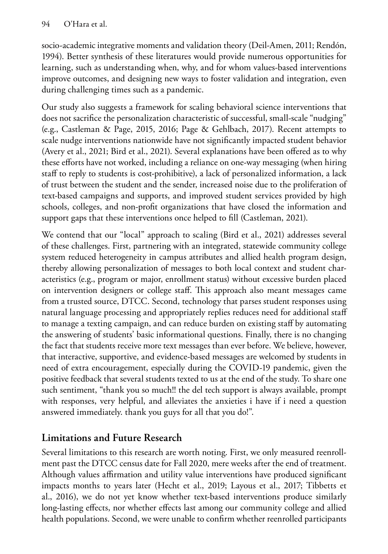socio-academic integrative moments and validation theory (Deil-Amen, 2011; Rendón, 1994). Better synthesis of these literatures would provide numerous opportunities for learning, such as understanding when, why, and for whom values-based interventions improve outcomes, and designing new ways to foster validation and integration, even during challenging times such as a pandemic.

Our study also suggests a framework for scaling behavioral science interventions that does not sacrifice the personalization characteristic of successful, small-scale "nudging" (e.g., Castleman & Page, 2015, 2016; Page & Gehlbach, 2017). Recent attempts to scale nudge interventions nationwide have not significantly impacted student behavior (Avery et al., 2021; Bird et al., 2021). Several explanations have been offered as to why these efforts have not worked, including a reliance on one-way messaging (when hiring staff to reply to students is cost-prohibitive), a lack of personalized information, a lack of trust between the student and the sender, increased noise due to the proliferation of text-based campaigns and supports, and improved student services provided by high schools, colleges, and non-profit organizations that have closed the information and support gaps that these interventions once helped to fill (Castleman, 2021).

We contend that our "local" approach to scaling (Bird et al., 2021) addresses several of these challenges. First, partnering with an integrated, statewide community college system reduced heterogeneity in campus attributes and allied health program design, thereby allowing personalization of messages to both local context and student characteristics (e.g., program or major, enrollment status) without excessive burden placed on intervention designers or college staff. This approach also meant messages came from a trusted source, DTCC. Second, technology that parses student responses using natural language processing and appropriately replies reduces need for additional staff to manage a texting campaign, and can reduce burden on existing staff by automating the answering of students' basic informational questions. Finally, there is no changing the fact that students receive more text messages than ever before. We believe, however, that interactive, supportive, and evidence-based messages are welcomed by students in need of extra encouragement, especially during the COVID-19 pandemic, given the positive feedback that several students texted to us at the end of the study. To share one such sentiment, "thank you so much!! the del tech support is always available, prompt with responses, very helpful, and alleviates the anxieties i have if i need a question answered immediately. thank you guys for all that you do!".

# **Limitations and Future Research**

Several limitations to this research are worth noting. First, we only measured reenrollment past the DTCC census date for Fall 2020, mere weeks after the end of treatment. Although values affirmation and utility value interventions have produced significant impacts months to years later (Hecht et al., 2019; Layous et al., 2017; Tibbetts et al., 2016), we do not yet know whether text-based interventions produce similarly long-lasting effects, nor whether effects last among our community college and allied health populations. Second, we were unable to confirm whether reenrolled participants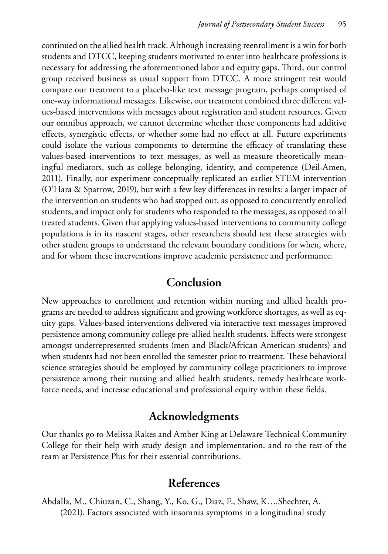continued on the allied health track. Although increasing reenrollment is a win for both students and DTCC, keeping students motivated to enter into healthcare professions is necessary for addressing the aforementioned labor and equity gaps. Third, our control group received business as usual support from DTCC. A more stringent test would compare our treatment to a placebo-like text message program, perhaps comprised of one-way informational messages. Likewise, our treatment combined three different values-based interventions with messages about registration and student resources. Given our omnibus approach, we cannot determine whether these components had additive effects, synergistic effects, or whether some had no effect at all. Future experiments could isolate the various components to determine the efficacy of translating these values-based interventions to text messages, as well as measure theoretically meaningful mediators, such as college belonging, identity, and competence (Deil-Amen, 2011). Finally, our experiment conceptually replicated an earlier STEM intervention (O'Hara & Sparrow, 2019), but with a few key differences in results: a larger impact of the intervention on students who had stopped out, as opposed to concurrently enrolled students, and impact only for students who responded to the messages, as opposed to all treated students. Given that applying values-based interventions to community college populations is in its nascent stages, other researchers should test these strategies with other student groups to understand the relevant boundary conditions for when, where, and for whom these interventions improve academic persistence and performance.

#### **Conclusion**

New approaches to enrollment and retention within nursing and allied health programs are needed to address significant and growing workforce shortages, as well as equity gaps. Values-based interventions delivered via interactive text messages improved persistence among community college pre-allied health students. Effects were strongest amongst underrepresented students (men and Black/African American students) and when students had not been enrolled the semester prior to treatment. These behavioral science strategies should be employed by community college practitioners to improve persistence among their nursing and allied health students, remedy healthcare workforce needs, and increase educational and professional equity within these fields.

#### **Acknowledgments**

Our thanks go to Melissa Rakes and Amber King at Delaware Technical Community College for their help with study design and implementation, and to the rest of the team at Persistence Plus for their essential contributions.

# **References**

Abdalla, M., Chiuzan, C., Shang, Y., Ko, G., Diaz, F., Shaw, K….Shechter, A. (2021). Factors associated with insomnia symptoms in a longitudinal study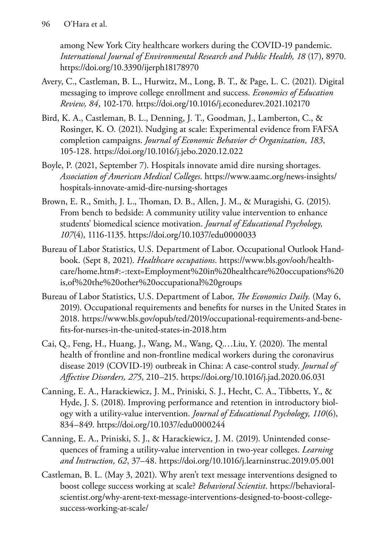among New York City healthcare workers during the COVID-19 pandemic. *International Journal of Environmental Research and Public Health, 18* (17), 8970. https://doi.org/10.3390/ijerph18178970

- Avery, C., Castleman, B. L., Hurwitz, M., Long, B. T., & Page, L. C. (2021). Digital messaging to improve college enrollment and success. *Economics of Education Review, 84*, 102-170. https://doi.org/10.1016/j.econedurev.2021.102170
- Bird, K. A., Castleman, B. L., Denning, J. T., Goodman, J., Lamberton, C., & Rosinger, K. O. (2021). Nudging at scale: Experimental evidence from FAFSA completion campaigns. *Journal of Economic Behavior & Organization, 183*, 105-128. https://doi.org/10.1016/j.jebo.2020.12.022
- Boyle, P. (2021, September 7). Hospitals innovate amid dire nursing shortages. *Association of American Medical Colleges*. [https://www.aamc.org/news-insights/](https://www.aamc.org/news-insights/hospitals-innovate-amid-dire-nursing-shortages) [hospitals-innovate-amid-dire-nursing-shortages](https://www.aamc.org/news-insights/hospitals-innovate-amid-dire-nursing-shortages)
- Brown, E. R., Smith, J. L., Thoman, D. B., Allen, J. M., & Muragishi, G. (2015). From bench to bedside: A community utility value intervention to enhance students' biomedical science motivation. *Journal of Educational Psychology, 107*(4), 1116-1135. https://doi.org/10.1037/edu0000033
- Bureau of Labor Statistics, U.S. Department of Labor. Occupational Outlook Handbook. (Sept 8, 2021). *Healthcare occupations*. [https://www.bls.gov/ooh/health](https://www.bls.gov/ooh/healthcare/home.htm#:~:text=Employment%20in%20healthcare%20occupations%20is,of%20the%20other%20occupational%20groups)[care/home.htm#:~:text=Employment%20in%20healthcare%20occupations%20](https://www.bls.gov/ooh/healthcare/home.htm#:~:text=Employment%20in%20healthcare%20occupations%20is,of%20the%20other%20occupational%20groups) [is,of%20the%20other%20occupational%20groups](https://www.bls.gov/ooh/healthcare/home.htm#:~:text=Employment%20in%20healthcare%20occupations%20is,of%20the%20other%20occupational%20groups)
- Bureau of Labor Statistics, U.S. Department of Labor, *The Economics Daily*. (May 6, 2019). Occupational requirements and benefits for nurses in the United States in 2018. [https://www.bls.gov/opub/ted/2019/occupational-requirements-and-bene](https://www.bls.gov/opub/ted/2019/occupational-requirements-and-benefits-for-nurses-in-the-united-states-in-2018.htm)[fits-for-nurses-in-the-united-states-in-2018.htm](https://www.bls.gov/opub/ted/2019/occupational-requirements-and-benefits-for-nurses-in-the-united-states-in-2018.htm)
- Cai, Q., Feng, H., Huang, J., Wang, M., Wang, Q.…Liu, Y. (2020). The mental health of frontline and non-frontline medical workers during the coronavirus disease 2019 (COVID-19) outbreak in China: A case-control study. *Journal of Affective Disorders, 275*, 210–215. https://doi.org/10.1016/j.jad.2020.06.031
- Canning, E. A., Harackiewicz, J. M., Priniski, S. J., Hecht, C. A., Tibbetts, Y., & Hyde, J. S. (2018). Improving performance and retention in introductory biology with a utility-value intervention. *Journal of Educational Psychology, 110*(6), 834–849. https://doi.org/10.1037/edu0000244
- Canning, E. A., Priniski, S. J., & Harackiewicz, J. M. (2019). Unintended consequences of framing a utility-value intervention in two-year colleges. *Learning and Instruction, 62*, 37–48. https://doi.org/10.1016/j.learninstruc.2019.05.001
- Castleman, B. L. (May 3, 2021). Why aren't text message interventions designed to boost college success working at scale? *Behavioral Scientist*. [https://behavioral](https://behavioralscientist.org/why-arent-text-message-interventions-designed-to-boost-college-success-working-at-scale/)[scientist.org/why-arent-text-message-interventions-designed-to-boost-college](https://behavioralscientist.org/why-arent-text-message-interventions-designed-to-boost-college-success-working-at-scale/)[success-working-at-scale/](https://behavioralscientist.org/why-arent-text-message-interventions-designed-to-boost-college-success-working-at-scale/)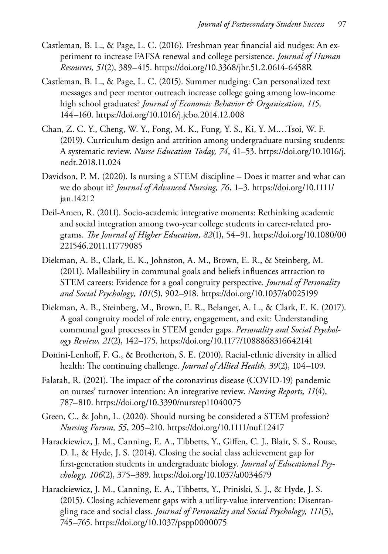- Castleman, B. L., & Page, L. C. (2016). Freshman year financial aid nudges: An experiment to increase FAFSA renewal and college persistence. *Journal of Human Resources, 51*(2), 389–415. https://doi.org/10.3368/jhr.51.2.0614-6458R
- Castleman, B. L., & Page, L. C. (2015). Summer nudging: Can personalized text messages and peer mentor outreach increase college going among low-income high school graduates? *Journal of Economic Behavior & Organization, 115,* 144–160. https://doi.org/10.1016/j.jebo.2014.12.008
- Chan, Z. C. Y., Cheng, W. Y., Fong, M. K., Fung, Y. S., Ki, Y. M.…Tsoi, W. F. (2019). Curriculum design and attrition among undergraduate nursing students: A systematic review. *Nurse Education Today, 74*, 41–53. [https://doi.org/10.1016/j.](https://doi.org/10.1016/j.nedt.2018.11.024) [nedt.2018.11.024](https://doi.org/10.1016/j.nedt.2018.11.024)
- Davidson, P. M. (2020). Is nursing a STEM discipline Does it matter and what can we do about it? *Journal of Advanced Nursing, 76*, 1–3. [https://doi.org/10.1111/](https://doi.org/10.1111/jan.14212) [jan.14212](https://doi.org/10.1111/jan.14212)
- Deil-Amen, R. (2011). Socio-academic integrative moments: Rethinking academic and social integration among two-year college students in career-related programs. *The Journal of Higher Education, 82*(1), 54–91. [https://doi.org/10.1080/00](https://doi.org/10.1080/00221546.2011.11779085) [221546.2011.11779085](https://doi.org/10.1080/00221546.2011.11779085)
- Diekman, A. B., Clark, E. K., Johnston, A. M., Brown, E. R., & Steinberg, M. (2011). Malleability in communal goals and beliefs influences attraction to STEM careers: Evidence for a goal congruity perspective. *Journal of Personality and Social Psychology, 101*(5), 902–918. https://doi.org/10.1037/a0025199
- Diekman, A. B., Steinberg, M., Brown, E. R., Belanger, A. L., & Clark, E. K. (2017). A goal congruity model of role entry, engagement, and exit: Understanding communal goal processes in STEM gender gaps. *Personality and Social Psychology Review, 21*(2), 142–175. https://doi.org/10.1177/1088868316642141
- Donini-Lenhoff, F. G., & Brotherton, S. E. (2010). Racial-ethnic diversity in allied health: The continuing challenge. *Journal of Allied Health, 39*(2), 104–109.
- Falatah, R. (2021). The impact of the coronavirus disease (COVID-19) pandemic on nurses' turnover intention: An integrative review. *Nursing Reports, 11*(4), 787–810. https://doi.org/10.3390/nursrep11040075
- Green, C., & John, L. (2020). Should nursing be considered a STEM profession? *Nursing Forum, 55*, 205–210. https://doi.org/10.1111/nuf.12417
- Harackiewicz, J. M., Canning, E. A., Tibbetts, Y., Giffen, C. J., Blair, S. S., Rouse, D. I., & Hyde, J. S. (2014). Closing the social class achievement gap for first-generation students in undergraduate biology. *Journal of Educational Psychology, 106*(2), 375–389. https://doi.org/10.1037/a0034679
- Harackiewicz, J. M., Canning, E. A., Tibbetts, Y., Priniski, S. J., & Hyde, J. S. (2015). Closing achievement gaps with a utility-value intervention: Disentangling race and social class. *Journal of Personality and Social Psychology, 111*(5), 745–765. https://doi.org/10.1037/pspp0000075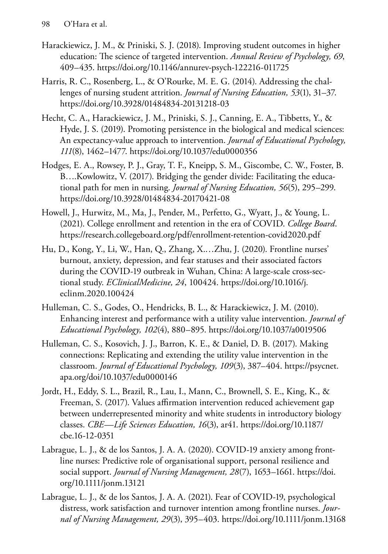- Harackiewicz, J. M., & Priniski, S. J. (2018). Improving student outcomes in higher education: The science of targeted intervention. *Annual Review of Psychology, 69*, 409–435. https://doi.org/10.1146/annurev-psych-122216-011725
- Harris, R. C., Rosenberg, L., & O'Rourke, M. E. G. (2014). Addressing the challenges of nursing student attrition. *Journal of Nursing Education, 53*(1), 31–37. https://doi.org/10.3928/01484834-20131218-03
- Hecht, C. A., Harackiewicz, J. M., Priniski, S. J., Canning, E. A., Tibbetts, Y., & Hyde, J. S. (2019). Promoting persistence in the biological and medical sciences: An expectancy-value approach to intervention. *Journal of Educational Psychology, 111*(8), 1462–1477. https://doi.org/10.1037/edu0000356
- Hodges, E. A., Rowsey, P. J., Gray, T. F., Kneipp, S. M., Giscombe, C. W., Foster, B. B….Kowlowitz, V. (2017). Bridging the gender divide: Facilitating the educational path for men in nursing. *Journal of Nursing Education, 56*(5), 295–299. https://doi.org/10.3928/01484834-20170421-08
- Howell, J., Hurwitz, M., Ma, J., Pender, M., Perfetto, G., Wyatt, J., & Young, L. (2021). College enrollment and retention in the era of COVID. *College Board*. https://research.collegeboard.org/pdf/enrollment-retention-covid2020.pdf
- Hu, D., Kong, Y., Li, W., Han, Q., Zhang, X.…Zhu, J. (2020). Frontline nurses' burnout, anxiety, depression, and fear statuses and their associated factors during the COVID-19 outbreak in Wuhan, China: A large-scale cross-sectional study. *EClinicalMedicine, 24*, 100424. [https://doi.org/10.1016/j.](https://doi.org/10.1016/j.eclinm.2020.100424) [eclinm.2020.100424](https://doi.org/10.1016/j.eclinm.2020.100424)
- Hulleman, C. S., Godes, O., Hendricks, B. L., & Harackiewicz, J. M. (2010). Enhancing interest and performance with a utility value intervention. *Journal of Educational Psychology, 102*(4), 880–895. https://doi.org/10.1037/a0019506
- Hulleman, C. S., Kosovich, J. J., Barron, K. E., & Daniel, D. B. (2017). Making connections: Replicating and extending the utility value intervention in the classroom. *Journal of Educational Psychology, 109*(3), 387–404. [https://psycnet.](https://psycnet.apa.org/doi/10.1037/edu0000146) [apa.org/doi/10.1037/edu0000146](https://psycnet.apa.org/doi/10.1037/edu0000146)
- Jordt, H., Eddy, S. L., Brazil, R., Lau, I., Mann, C., Brownell, S. E., King, K., & Freeman, S. (2017). Values affirmation intervention reduced achievement gap between underrepresented minority and white students in introductory biology classes. *CBE—Life Sciences Education, 16*(3), ar41. [https://doi.org/10.1187/](https://doi.org/10.1187/cbe.16-12-0351) [cbe.16-12-0351](https://doi.org/10.1187/cbe.16-12-0351)
- Labrague, L. J., & de los Santos, J. A. A. (2020). COVID-19 anxiety among frontline nurses: Predictive role of organisational support, personal resilience and social support. *Journal of Nursing Management, 28*(7), 1653–1661. [https://doi.](https://doi.org/10.1111/jonm.13121) [org/10.1111/jonm.13121](https://doi.org/10.1111/jonm.13121)
- Labrague, L. J., & de los Santos, J. A. A. (2021). Fear of COVID-19, psychological distress, work satisfaction and turnover intention among frontline nurses. *Journal of Nursing Management, 29*(3), 395–403. https://doi.org/10.1111/jonm.13168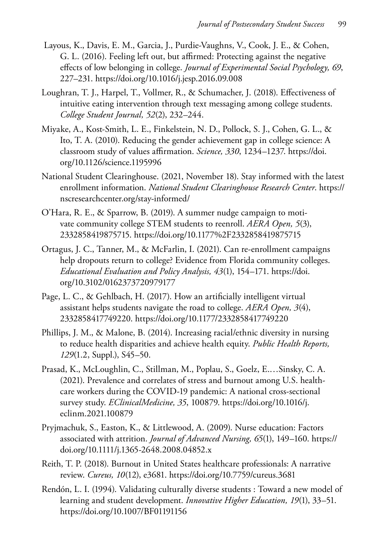- Layous, K., Davis, E. M., Garcia, J., Purdie-Vaughns, V., Cook, J. E., & Cohen, G. L. (2016). Feeling left out, but affirmed: Protecting against the negative effects of low belonging in college. *Journal of Experimental Social Psychology, 69*, 227–231. https://doi.org/10.1016/j.jesp.2016.09.008
- Loughran, T. J., Harpel, T., Vollmer, R., & Schumacher, J. (2018). Effectiveness of intuitive eating intervention through text messaging among college students. *College Student Journal, 52*(2), 232–244.
- Miyake, A., Kost-Smith, L. E., Finkelstein, N. D., Pollock, S. J., Cohen, G. L., & Ito, T. A. (2010). Reducing the gender achievement gap in college science: A classroom study of values affirmation. *Science, 330*, 1234–1237. [https://doi.](https://doi.org/10.1126/science.1195996) [org/10.1126/science.1195996](https://doi.org/10.1126/science.1195996)
- National Student Clearinghouse. (2021, November 18). Stay informed with the latest enrollment information. *National Student Clearinghouse Research Center*. [https://](https://nscresearchcenter.org/stay-informed/) [nscresearchcenter.org/stay-informed/](https://nscresearchcenter.org/stay-informed/)
- O'Hara, R. E., & Sparrow, B. (2019). A summer nudge campaign to motivate community college STEM students to reenroll. *AERA Open, 5*(3), 2332858419875715. https://doi.org/10.1177%2F2332858419875715
- Ortagus, J. C., Tanner, M., & McFarlin, I. (2021). Can re-enrollment campaigns help dropouts return to college? Evidence from Florida community colleges. *Educational Evaluation and Policy Analysis, 43*(1), 154–171. [https://doi.](https://doi.org/10.3102/0162373720979177) [org/10.3102/0162373720979177](https://doi.org/10.3102/0162373720979177)
- Page, L. C., & Gehlbach, H. (2017). How an artificially intelligent virtual assistant helps students navigate the road to college. *AERA Open, 3*(4), 2332858417749220. https://doi.org/10.1177/2332858417749220
- Phillips, J. M., & Malone, B. (2014). Increasing racial/ethnic diversity in nursing to reduce health disparities and achieve health equity. *Public Health Reports, 129*(1.2, Suppl.), S45–50.
- Prasad, K., McLoughlin, C., Stillman, M., Poplau, S., Goelz, E.…Sinsky, C. A. (2021). Prevalence and correlates of stress and burnout among U.S. healthcare workers during the COVID-19 pandemic: A national cross-sectional survey study. *EClinicalMedicine, 35*, 100879. [https://doi.org/10.1016/j.](https://doi.org/10.1016/j.eclinm.2021.100879) [eclinm.2021.100879](https://doi.org/10.1016/j.eclinm.2021.100879)
- Pryjmachuk, S., Easton, K., & Littlewood, A. (2009). Nurse education: Factors associated with attrition. *Journal of Advanced Nursing, 65*(1), 149–160. [https://](https://doi.org/10.1111/j.1365-2648.2008.04852.x) [doi.org/10.1111/j.1365-2648.2008.04852.x](https://doi.org/10.1111/j.1365-2648.2008.04852.x)
- Reith, T. P. (2018). Burnout in United States healthcare professionals: A narrative review. *Cureus, 10*(12), e3681. https://doi.org/10.7759/cureus.3681
- Rendón, L. I. (1994). Validating culturally diverse students : Toward a new model of learning and student development. *Innovative Higher Education, 19*(1), 33–51. https://doi.org/10.1007/BF01191156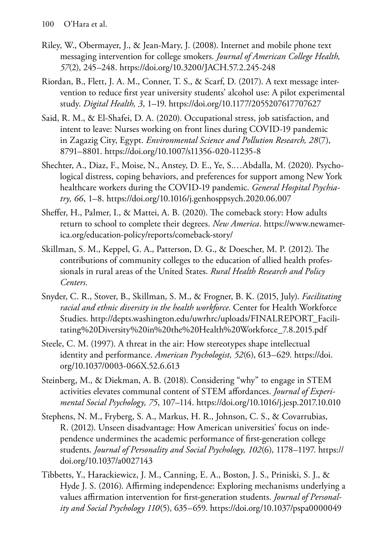- Riley, W., Obermayer, J., & Jean-Mary, J. (2008). Internet and mobile phone text messaging intervention for college smokers. *Journal of American College Health, 57*(2), 245–248. https://doi.org/10.3200/JACH.57.2.245-248
- Riordan, B., Flett, J. A. M., Conner, T. S., & Scarf, D. (2017). A text message intervention to reduce first year university students' alcohol use: A pilot experimental study. *Digital Health, 3*, 1–19. https://doi.org/10.1177/2055207617707627
- Said, R. M., & El-Shafei, D. A. (2020). Occupational stress, job satisfaction, and intent to leave: Nurses working on front lines during COVID-19 pandemic in Zagazig City, Egypt. *Environmental Science and Pollution Research, 28*(7), 8791–8801. https://doi.org/10.1007/s11356-020-11235-8
- Shechter, A., Diaz, F., Moise, N., Anstey, D. E., Ye, S.…Abdalla, M. (2020). Psychological distress, coping behaviors, and preferences for support among New York healthcare workers during the COVID-19 pandemic. *General Hospital Psychiatry, 66*, 1–8.<https://doi.org/10.1016/j.genhosppsych.2020.06.007>
- Sheffer, H., Palmer, I., & Mattei, A. B. (2020). The comeback story: How adults return to school to complete their degrees. *New America*. [https://www.newamer](https://www.newamerica.org/education-policy/reports/comeback-story/)[ica.org/education-policy/reports/comeback-story/](https://www.newamerica.org/education-policy/reports/comeback-story/)
- Skillman, S. M., Keppel, G. A., Patterson, D. G., & Doescher, M. P. (2012). The contributions of community colleges to the education of allied health professionals in rural areas of the United States. *Rural Health Research and Policy Centers*.
- Snyder, C. R., Stover, B., Skillman, S. M., & Frogner, B. K. (2015, July). *Facilitating racial and ethnic diversity in the health workforce*. Center for Health Workforce Studies. [http://depts.washington.edu/uwrhrc/uploads/FINALREPORT\\_Facili](http://depts.washington.edu/uwrhrc/uploads/FINALREPORT_Facilitating%20Diversity%20in%20the%20Health%20Workforce_7.8.2015.pdf)[tating%20Diversity%20in%20the%20Health%20Workforce\\_7.8.2015.pdf](http://depts.washington.edu/uwrhrc/uploads/FINALREPORT_Facilitating%20Diversity%20in%20the%20Health%20Workforce_7.8.2015.pdf)
- Steele, C. M. (1997). A threat in the air: How stereotypes shape intellectual identity and performance. *American Psychologist, 52*(6), 613–629. [https://doi.](https://doi.org/10.1037/0003-066X.52.6.613) [org/10.1037/0003-066X.52.6.613](https://doi.org/10.1037/0003-066X.52.6.613)
- Steinberg, M., & Diekman, A. B. (2018). Considering "why" to engage in STEM activities elevates communal content of STEM affordances. *Journal of Experimental Social Psychology, 75*, 107–114. https://doi.org/10.1016/j.jesp.2017.10.010
- Stephens, N. M., Fryberg, S. A., Markus, H. R., Johnson, C. S., & Covarrubias, R. (2012). Unseen disadvantage: How American universities' focus on independence undermines the academic performance of first-generation college students. *Journal of Personality and Social Psychology, 102*(6), 1178–1197. [https://](https://doi.org/10.1037/a0027143) [doi.org/10.1037/a0027143](https://doi.org/10.1037/a0027143)
- Tibbetts, Y., Harackiewicz, J. M., Canning, E. A., Boston, J. S., Priniski, S. J., & Hyde J. S. (2016). Affirming independence: Exploring mechanisms underlying a values affirmation intervention for first-generation students. *Journal of Personality and Social Psychology 110*(5), 635–659. https://doi.org/10.1037/pspa0000049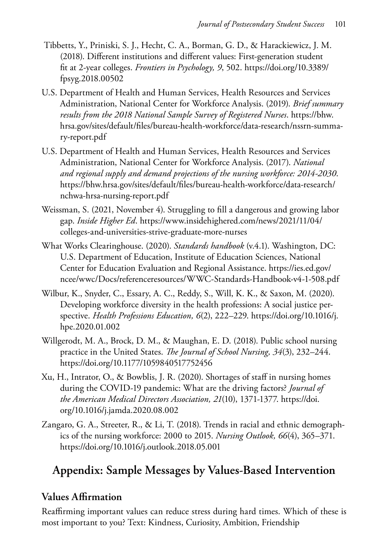- Tibbetts, Y., Priniski, S. J., Hecht, C. A., Borman, G. D., & Harackiewicz, J. M. (2018). Different institutions and different values: First-generation student fit at 2-year colleges. *Frontiers in Psychology, 9*, 502. [https://doi.org/10.3389/](https://doi.org/10.3389/fpsyg.2018.00502) [fpsyg.2018.00502](https://doi.org/10.3389/fpsyg.2018.00502)
- U.S. Department of Health and Human Services, Health Resources and Services Administration, National Center for Workforce Analysis. (2019). *Brief summary results from the 2018 National Sample Survey of Registered Nurses*. [https://bhw.](https://bhw.hrsa.gov/sites/default/files/bureau-health-workforce/data-research/nssrn-summary-report.pdf) [hrsa.gov/sites/default/files/bureau-health-workforce/data-research/nssrn-summa](https://bhw.hrsa.gov/sites/default/files/bureau-health-workforce/data-research/nssrn-summary-report.pdf)[ry-report.pdf](https://bhw.hrsa.gov/sites/default/files/bureau-health-workforce/data-research/nssrn-summary-report.pdf)
- U.S. Department of Health and Human Services, Health Resources and Services Administration, National Center for Workforce Analysis. (2017). *National and regional supply and demand projections of the nursing workforce: 2014-2030*. [https://bhw.hrsa.gov/sites/default/files/bureau-health-workforce/data-research/](https://bhw.hrsa.gov/sites/default/files/bureau-health-workforce/data-research/nchwa-hrsa-nursing-report.pdf) [nchwa-hrsa-nursing-report.pdf](https://bhw.hrsa.gov/sites/default/files/bureau-health-workforce/data-research/nchwa-hrsa-nursing-report.pdf)
- Weissman, S. (2021, November 4). Struggling to fill a dangerous and growing labor gap. *Inside Higher Ed*. [https://www.insidehighered.com/news/2021/11/04/](https://www.insidehighered.com/news/2021/11/04/colleges-and-universities-strive-graduate-more-nurses) [colleges-and-universities-strive-graduate-more-nurses](https://www.insidehighered.com/news/2021/11/04/colleges-and-universities-strive-graduate-more-nurses)
- What Works Clearinghouse. (2020). *Standards handbook* (v.4.1). Washington, DC: U.S. Department of Education, Institute of Education Sciences, National Center for Education Evaluation and Regional Assistance. [https://ies.ed.gov/](https://ies.ed.gov/ncee/wwc/Docs/referenceresources/WWC-Standards-Handbook-v4-1-508.pdf) [ncee/wwc/Docs/referenceresources/WWC-Standards-Handbook-v4-1-508.pdf](https://ies.ed.gov/ncee/wwc/Docs/referenceresources/WWC-Standards-Handbook-v4-1-508.pdf)
- Wilbur, K., Snyder, C., Essary, A. C., Reddy, S., Will, K. K., & Saxon, M. (2020). Developing workforce diversity in the health professions: A social justice perspective. *Health Professions Education, 6*(2), 222–229. [https://doi.org/10.1016/j.](https://doi.org/10.1016/j.hpe.2020.01.002) [hpe.2020.01.002](https://doi.org/10.1016/j.hpe.2020.01.002)
- Willgerodt, M. A., Brock, D. M., & Maughan, E. D. (2018). Public school nursing practice in the United States. *The Journal of School Nursing, 34*(3), 232–244. https://doi.org/10.1177/1059840517752456
- Xu, H., Intrator, O., & Bowblis, J. R. (2020). Shortages of staff in nursing homes during the COVID-19 pandemic: What are the driving factors? *Journal of the American Medical Directors Association, 21*(10), 1371-1377. [https://doi.](https://doi.org/10.1016/j.jamda.2020.08.002) [org/10.1016/j.jamda.2020.08.002](https://doi.org/10.1016/j.jamda.2020.08.002)
- Zangaro, G. A., Streeter, R., & Li, T. (2018). Trends in racial and ethnic demographics of the nursing workforce: 2000 to 2015. *Nursing Outlook, 66*(4), 365–371. https://doi.org/10.1016/j.outlook.2018.05.001

# **Appendix: Sample Messages by Values-Based Intervention**

### **Values Affirmation**

Reaffirming important values can reduce stress during hard times. Which of these is most important to you? Text: Kindness, Curiosity, Ambition, Friendship